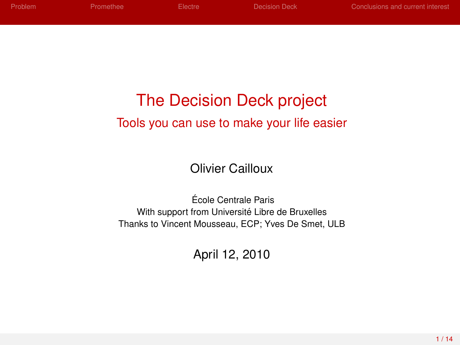| Problem | <b>Promethee</b> | Electre - | Decision Deck | Conclusions and current interest |
|---------|------------------|-----------|---------------|----------------------------------|
|         |                  |           |               |                                  |
|         |                  |           |               |                                  |

# The Decision Deck project Tools you can use to make your life easier

Olivier Cailloux

Ecole Centrale Paris ´ With support from Université Libre de Bruxelles Thanks to Vincent Mousseau, ECP; Yves De Smet, ULB

April 12, 2010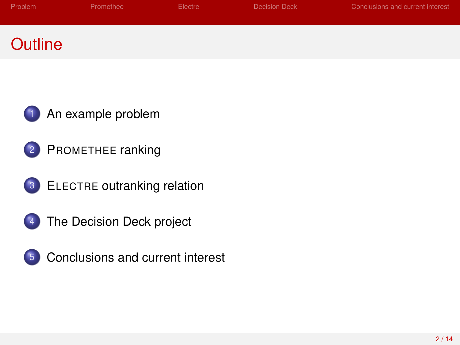| Problem | Promethee | Electre | <b>Decision Deck</b> | Conclusions and current interest |
|---------|-----------|---------|----------------------|----------------------------------|
| Outline |           |         |                      |                                  |





- ELECTRE [outranking relation](#page-7-0)
- [The Decision Deck project](#page-10-0)

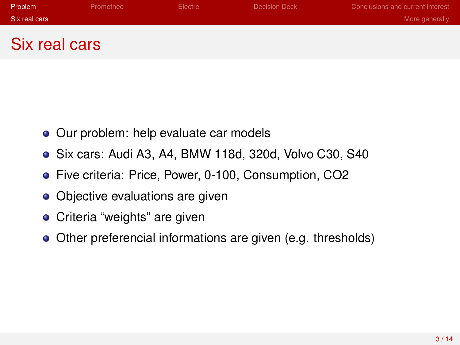| Problem       | Promethee | Electre | Decision Deck | Conclusions and current interest |
|---------------|-----------|---------|---------------|----------------------------------|
| Six real cars |           |         |               | More generally                   |
|               |           |         |               |                                  |
| Six real cars |           |         |               |                                  |

- Our problem: help evaluate car models
- Six cars: Audi A3, A4, BMW 118d, 320d, Volvo C30, S40
- Five criteria: Price, Power, 0-100, Consumption, CO2
- Objective evaluations are given
- **•** Criteria "weights" are given
- <span id="page-2-0"></span>Other preferencial informations are given (e.g. thresholds)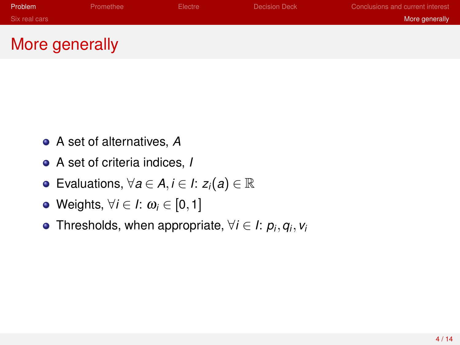| Problem       | Promethee | Electre | Decision Deck | Conclusions and current interest |
|---------------|-----------|---------|---------------|----------------------------------|
| Six real cars |           |         |               | More generally                   |
|               | $-$       |         |               |                                  |

# More generally

- A set of alternatives, *A*
- A set of criteria indices, *I*
- Evaluations, ∀*<sup>a</sup>* ∈ *<sup>A</sup>*,*<sup>i</sup>* ∈ *<sup>I</sup>*: *<sup>z</sup>i*(*a*) ∈ R
- Weights, ∀*i* ∈ *I*: ω*<sup>i</sup>* ∈ [0,1]
- <span id="page-3-0"></span>Thresholds, when appropriate,  $\forall i \in I: p_i, q_i, v_i$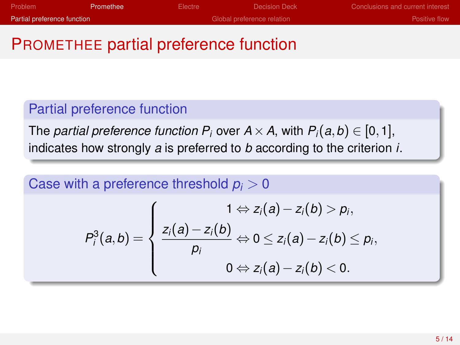| Problem                     | Promethee | Electre | Decision Deck              | Conclusions and current interest |
|-----------------------------|-----------|---------|----------------------------|----------------------------------|
| Partial preference function |           |         | Global preference relation | <b>Positive flow</b>             |

## PROMETHEE partial preference function

#### Partial preference function

The *partial preference function P<sub>i</sub>* over  $A \times A$ , with  $P_i(a, b) \in [0, 1]$ , indicates how strongly *a* is preferred to *b* according to the criterion *i*.

Case with a preference threshold  $p_i > 0$ 

<span id="page-4-0"></span>
$$
P_i^3(a,b) = \left\{\begin{aligned}1 &\Leftrightarrow z_i(a)-z_i(b) > p_i, \\ \dfrac{z_i(a)-z_i(b)}{p_i} &\Leftrightarrow 0 \leq z_i(a)-z_i(b) \leq p_i, \\ 0 &\Leftrightarrow z_i(a)-z_i(b) < 0.\end{aligned}\right.
$$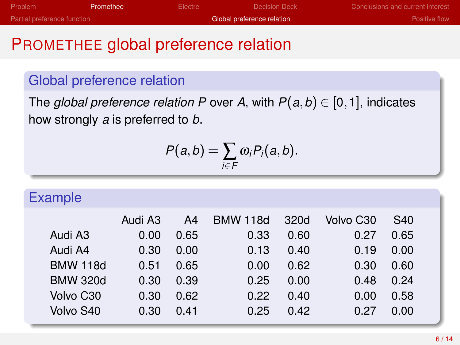| Problem                     | Promethee | Electre | Decision Deck              | Conclusions and current interest |
|-----------------------------|-----------|---------|----------------------------|----------------------------------|
| Partial preference function |           |         | Global preference relation | Positive flow                    |

## PROMETHEE global preference relation

### Global preference relation

The *global preference relation P* over *A*, with  $P(a, b) \in [0, 1]$ , indicates how strongly *a* is preferred to *b*.

<span id="page-5-0"></span>
$$
P(a,b)=\sum_{i\in F}\omega_iP_i(a,b).
$$

| <b>Example</b>  |         |      |                 |      |           |      |  |
|-----------------|---------|------|-----------------|------|-----------|------|--|
|                 | Audi A3 | A4   | <b>BMW 118d</b> | 320d | Volvo C30 | S40  |  |
| Audi A3         | 0.00    | 0.65 | 0.33            | 0.60 | 0.27      | 0.65 |  |
| Audi A4         | 0.30    | 0.00 | 0.13            | 0.40 | 0.19      | 0.00 |  |
| <b>BMW 118d</b> | 0.51    | 0.65 | 0.00            | 0.62 | 0.30      | 0.60 |  |
| <b>BMW 320d</b> | 0.30    | 0.39 | 0.25            | 0.00 | 0.48      | 0.24 |  |
| Volvo C30       | 0.30    | 0.62 | 0.22            | 0.40 | 0.00      | 0.58 |  |
| Volvo S40       | 0.30    | 0.41 | 0.25            | 0.42 | 0.27      | 0.00 |  |
|                 |         |      |                 |      |           |      |  |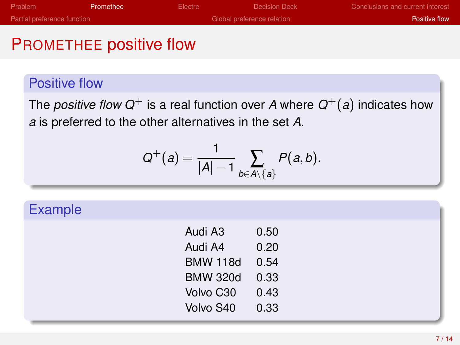| Problem                            | Promethee | Electre                    | Decision Deck | Conclusions and current interest |
|------------------------------------|-----------|----------------------------|---------------|----------------------------------|
| <b>Partial preference function</b> |           | Global preference relation |               | Positive flow                    |
|                                    |           |                            |               |                                  |

### PROMETHEE positive flow

#### Positive flow

The *positive flow*  $Q^+$  is a real function over  $A$  where  $Q^+(a)$  indicates how *a* is preferred to the other alternatives in the set *A*.

$$
Q^+(a) = \frac{1}{|A|-1} \sum_{b \in A \setminus \{a\}} P(a,b).
$$

### **Example**

<span id="page-6-0"></span>

| Audi A3         | 0.50 |
|-----------------|------|
| Audi A4         | 0.20 |
| <b>BMW 118d</b> | 0.54 |
| <b>BMW 320d</b> | 0.33 |
| Volvo C30       | 0.43 |
| Volvo S40       | 0.33 |
|                 |      |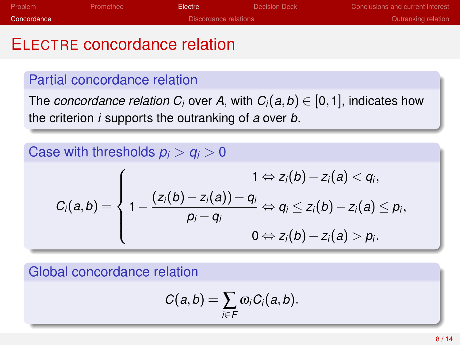| Problem     | Promethee             | Electre | Decision Deck | Conclusions and current interest |
|-------------|-----------------------|---------|---------------|----------------------------------|
| Concordance | Discordance relations |         |               | Outranking relation              |
|             |                       |         |               |                                  |

## ELECTRE concordance relation

### Partial concordance relation

The *concordance relation*  $C_i$  over A, with  $C_i(a, b) \in [0, 1]$ , indicates how the criterion *i* supports the outranking of *a* over *b*.

### Case with thresholds  $p_i > q_i > 0$

$$
C_i(a,b) = \left\{1 - \frac{(z_i(b) - z_i(a)) - q_i}{p_i - q_i} \Leftrightarrow q_i \leq z_i(b) - z_i(a) \leq p_i, \right. \\ 0 \Leftrightarrow z_i(b) - z_i(a) > p_i.
$$

Global concordance relation

<span id="page-7-0"></span>
$$
C(a,b)=\sum_{i\in F}\omega_iC_i(a,b).
$$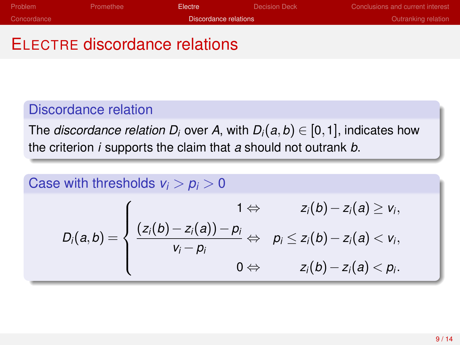| Problem     | <b>Promethee</b> | Electre -             | Decision Deck       | Conclusions and current interest |
|-------------|------------------|-----------------------|---------------------|----------------------------------|
| Concordance |                  | Discordance relations | Outranking relation |                                  |

# ELECTRE discordance relations

#### Discordance relation

The *discordance relation D<sub>i</sub>* over A, with  $D_i(a, b) \in [0, 1]$ , indicates how the criterion *i* supports the claim that *a* should not outrank *b*.

<span id="page-8-0"></span>Case with thresholds 
$$
v_i > p_i > 0
$$
  
\n
$$
D_i(a, b) = \begin{cases} 1 \Leftrightarrow & z_i(b) - z_i(a) \ge v_i, \\ \frac{(z_i(b) - z_i(a)) - p_i}{v_i - p_i} \Leftrightarrow & p_i \le z_i(b) - z_i(a) < v_i, \\ 0 \Leftrightarrow & z_i(b) - z_i(a) < p_i. \end{cases}
$$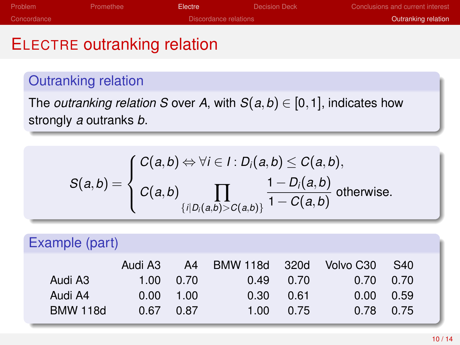| Problem     | Promethee | Electre <sup>1</sup>  | Decision Deck       | Conclusions and current interest |
|-------------|-----------|-----------------------|---------------------|----------------------------------|
| Concordance |           | Discordance relations | Outranking relation |                                  |
|             |           |                       |                     |                                  |

## ELECTRE outranking relation

### Outranking relation

The *outranking relation S* over *A*, with  $S(a, b) \in [0, 1]$ , indicates how strongly *a* outranks *b*.

<span id="page-9-0"></span>
$$
S(a,b) = \begin{cases} C(a,b) \Leftrightarrow \forall i \in I : D_i(a,b) \le C(a,b), \\ C(a,b) \prod_{\{i \mid D_i(a,b) > C(a,b)\}} \frac{1 - D_i(a,b)}{1 - C(a,b)} \text{ otherwise.} \end{cases}
$$

| Example (part)  |         |      |               |      |                       |      |  |
|-----------------|---------|------|---------------|------|-----------------------|------|--|
|                 | Audi A3 | A4   | BMW 118d 320d |      | Volvo C <sub>30</sub> | S40  |  |
| Audi A3         | 1.00    | 0.70 | 0.49          | 0.70 | 0.70                  | 0.70 |  |
| Audi A4         | 0.00    | 1.00 | 0.30          | 0.61 | 0.00                  | 0.59 |  |
| <b>BMW 118d</b> | 0.67    | 0.87 | 1.00          | 0.75 | 0.78                  | 0.75 |  |
|                 |         |      |               |      |                       |      |  |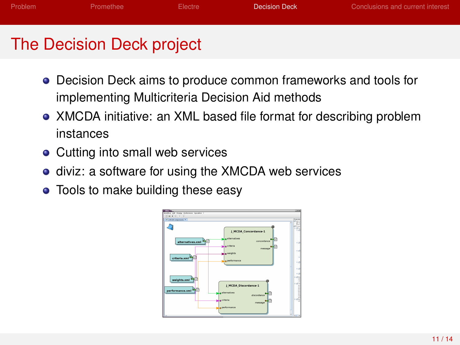| Problem | Promethee | Electre | Decision Deck | Conclusions and current interest |
|---------|-----------|---------|---------------|----------------------------------|
|         |           |         |               |                                  |
|         |           |         |               |                                  |

# The Decision Deck project

- Decision Deck aims to produce common frameworks and tools for implementing Multicriteria Decision Aid methods
- XMCDA initiative: an XML based file format for describing problem instances
- Cutting into small web services
- **o** diviz: a software for using the XMCDA web services
- Tools to make building these easy

<span id="page-10-0"></span>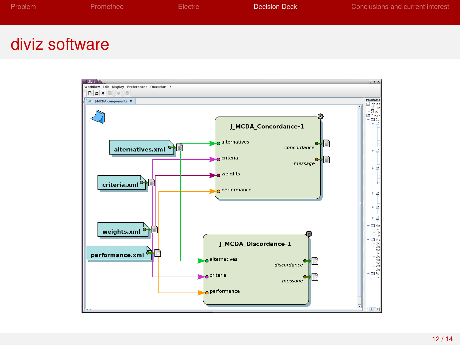| Problem | Promethee | Electre | Decision Deck | Conclusions and current interest |
|---------|-----------|---------|---------------|----------------------------------|
|         |           |         |               |                                  |
|         |           |         |               |                                  |

## diviz software

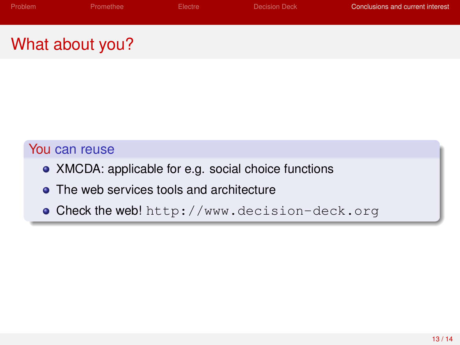| Problem | Promethee | Electre * | Decision Deck | Conclusions and current interest |
|---------|-----------|-----------|---------------|----------------------------------|
|         |           |           |               |                                  |

# What about you?

#### You can reuse

- XMCDA: applicable for e.g. social choice functions
- The web services tools and architecture
- <span id="page-12-0"></span>Check the web! <http://www.decision-deck.org>